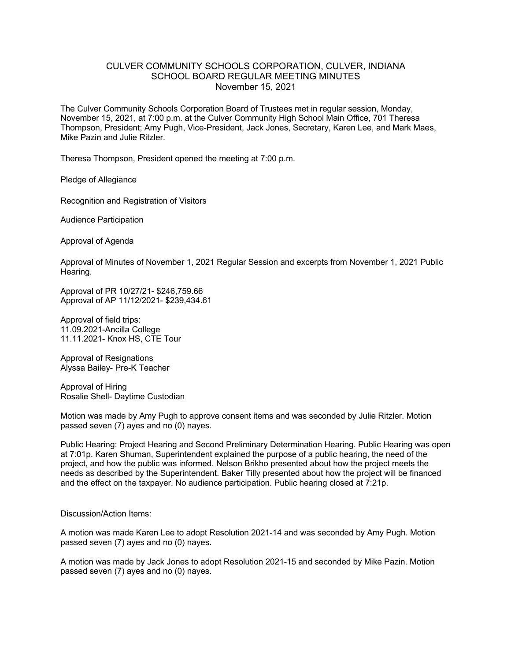## CULVER COMMUNITY SCHOOLS CORPORATION, CULVER, INDIANA SCHOOL BOARD REGULAR MEETING MINUTES November 15, 2021

The Culver Community Schools Corporation Board of Trustees met in regular session, Monday, November 15, 2021, at 7:00 p.m. at the Culver Community High School Main Office, 701 Theresa Thompson, President; Amy Pugh, Vice-President, Jack Jones, Secretary, Karen Lee, and Mark Maes, Mike Pazin and Julie Ritzler.

Theresa Thompson, President opened the meeting at 7:00 p.m.

Pledge of Allegiance

Recognition and Registration of Visitors

Audience Participation

Approval of Agenda

Approval of Minutes of November 1, 2021 Regular Session and excerpts from November 1, 2021 Public Hearing.

Approval of PR 10/27/21- \$246,759.66 Approval of AP 11/12/2021- \$239,434.61

Approval of field trips: 11.09.2021-Ancilla College 11.11.2021- Knox HS, CTE Tour

Approval of Resignations Alyssa Bailey- Pre-K Teacher

Approval of Hiring Rosalie Shell- Daytime Custodian

Motion was made by Amy Pugh to approve consent items and was seconded by Julie Ritzler. Motion passed seven (7) ayes and no (0) nayes.

Public Hearing: Project Hearing and Second Preliminary Determination Hearing. Public Hearing was open at 7:01p. Karen Shuman, Superintendent explained the purpose of a public hearing, the need of the project, and how the public was informed. Nelson Brikho presented about how the project meets the needs as described by the Superintendent. Baker Tilly presented about how the project will be financed and the effect on the taxpayer. No audience participation. Public hearing closed at 7:21p.

Discussion/Action Items:

A motion was made Karen Lee to adopt Resolution 2021-14 and was seconded by Amy Pugh. Motion passed seven (7) ayes and no (0) nayes.

A motion was made by Jack Jones to adopt Resolution 2021-15 and seconded by Mike Pazin. Motion passed seven (7) ayes and no (0) nayes.